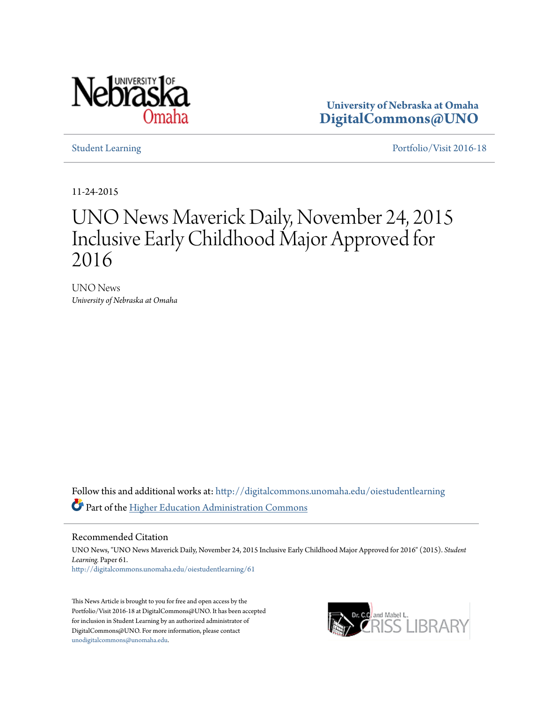

**University of Nebraska at Omaha [DigitalCommons@UNO](http://digitalcommons.unomaha.edu?utm_source=digitalcommons.unomaha.edu%2Foiestudentlearning%2F61&utm_medium=PDF&utm_campaign=PDFCoverPages)**

[Student Learning](http://digitalcommons.unomaha.edu/oiestudentlearning?utm_source=digitalcommons.unomaha.edu%2Foiestudentlearning%2F61&utm_medium=PDF&utm_campaign=PDFCoverPages) [Portfolio/Visit 2016-18](http://digitalcommons.unomaha.edu/oieportfolio?utm_source=digitalcommons.unomaha.edu%2Foiestudentlearning%2F61&utm_medium=PDF&utm_campaign=PDFCoverPages)

11-24-2015

## UNO News Maverick Daily, November 24, 2015 Inclusive Early Childhood Major Approved for 2016

UNO News *University of Nebraska at Omaha*

Follow this and additional works at: [http://digitalcommons.unomaha.edu/oiestudentlearning](http://digitalcommons.unomaha.edu/oiestudentlearning?utm_source=digitalcommons.unomaha.edu%2Foiestudentlearning%2F61&utm_medium=PDF&utm_campaign=PDFCoverPages) Part of the [Higher Education Administration Commons](http://network.bepress.com/hgg/discipline/791?utm_source=digitalcommons.unomaha.edu%2Foiestudentlearning%2F61&utm_medium=PDF&utm_campaign=PDFCoverPages)

Recommended Citation

UNO News, "UNO News Maverick Daily, November 24, 2015 Inclusive Early Childhood Major Approved for 2016" (2015). *Student Learning.* Paper 61. [http://digitalcommons.unomaha.edu/oiestudentlearning/61](http://digitalcommons.unomaha.edu/oiestudentlearning/61?utm_source=digitalcommons.unomaha.edu%2Foiestudentlearning%2F61&utm_medium=PDF&utm_campaign=PDFCoverPages)

This News Article is brought to you for free and open access by the Portfolio/Visit 2016-18 at DigitalCommons@UNO. It has been accepted for inclusion in Student Learning by an authorized administrator of DigitalCommons@UNO. For more information, please contact [unodigitalcommons@unomaha.edu](mailto:unodigitalcommons@unomaha.edu).

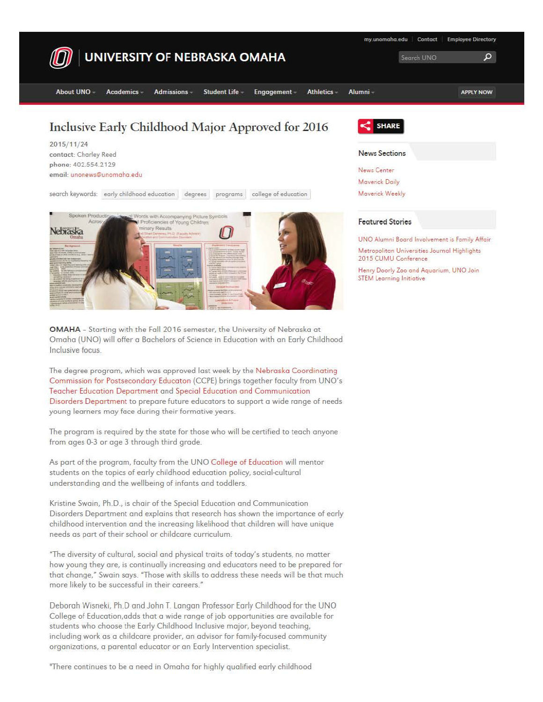

**OMAHA** - Starting with the Fall 2016 semester, the University of Nebraska at Omaha (UNO) will offer a Bachelors of Science in Education with an Early Childhood Inclusive focus.

The degree program, which was approved last week by the Nebraska Coordinating Commission for Postsecondary Educoton (CCPE) brings together faculty from UNO's Teacher Education Department and Speciol Education and Communication Disorders Department to prepare future educators to support a wide range of needs young learners may face during their formative years.

The program is required by the state for those who will be certified to teach anyone from ages 0-3 or age 3 through third grade.

As part of the program, faculty from the UNO College of Education will mentor students on the topics of early childhood education policy, social-cultural understanding and the wellbeing of infants and toddlers.

Kristine Swain, Ph.D., is chair of the Special Education and Communication Disorders Department and explains that research has shown the importance of early childhood intervention and the increasing likelihood that children will have unique needs as part of their school or childcare curriculum.

"The diversity of cultural, social and physical traits of today's students, no matter how young they are, is continually increasing and educators need to be prepared for that change," Swain says. "Those with skills to address these needs will be that much more likely to be successful in their careers."

Deborah Wisneki, Ph.D ond John T. Langon Professor Eorly Childhood for the UNO College of Education.adds that a wide range of job opportunities are available for students who choose the Early Childhood Inclusive major, beyond teaching, including work as a childcare provider, an advisor for family-focused community organizations, a parental educator or an Early Intervention specialist.

''There continues to be a need in Omaha for hi9hly qualified early childhood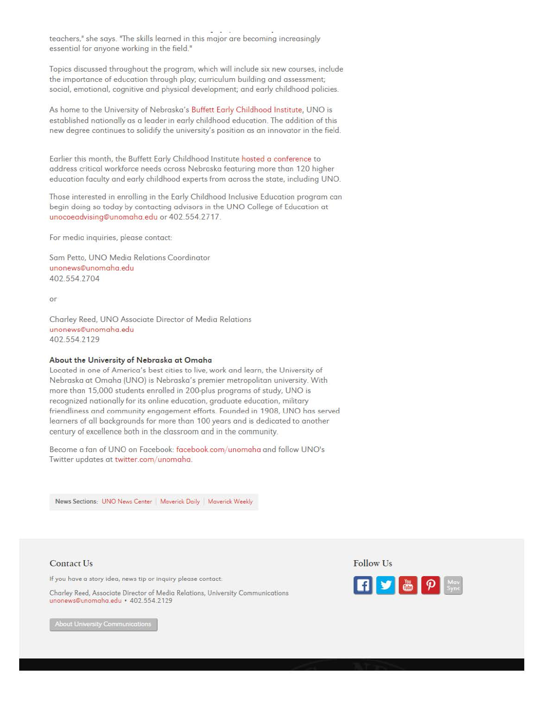teachers," she says. "The skills learned in this major ore becoming increasingly essential for anyone working in the field.<sup>"</sup>

Topics discussed throughout the program, which will include six new courses, include the importonce of education through play; curriculum building and assessment; social, emotionol, cognitive and physical development; and early childhood policies.

As home to the University of Nebraska's Buffett Early Childhood Institute, UNO is established nationally as o leader in early childhood education. The addition of this new degree continues to solidify the university's position as an innovator in the field.

Earlier this month, the Buffett Early Childhood Institute hosted a conference to address critical workforce needs across Nebrasko featuring more than 120 higher education faculty and early childhood experts from across the state, including UNO.

Those interested in enrolling in the Early Childhood Inclusive Education program can begin doing so today by contacting advisors in the UNO College of Education at unocoeadvising@unomaho.edu or 402.554.2717.

For media inquiries, please contact:

Sam Petto, UNO Media Relations Coordinator unonews@unomaha .edu 402.554.2704

or

Charley Reed, UNO Associate Director of Medio Relations unonews@unomaha.edu 402.554.2129

## About the University of Nebraska at Omaha

located in one of America's best cities to live, work and learn, the University of Nebraska at Omaha (UNO) is Nebroska's premier metropolitan university. With more than 15,000 students enrolled in 200-plus progroms of study, UNO is recognized nationally for its online education, groduote education, military friendliness and community engagement efforts. Founded in 1908, UNO has served learners of all bockgrounds for more than 100 years ond is dedicated to another century of excellence both in the classroom and in the community.

Become a fan of UNO on Facebook: facebook.com/unomaha and follow UNO's Twitter updates at twitter.com/unomaha.

**News Sections: UNO News Center | Maverick Daily | Maverick Weekly** 

Contact Us

If you have a story idea, news tip or inquiry please contact:

Chorley Reed, Associate Director of Media Relations, University Communications unonews@unomoha.edu • 402.554.2129

Follow Us